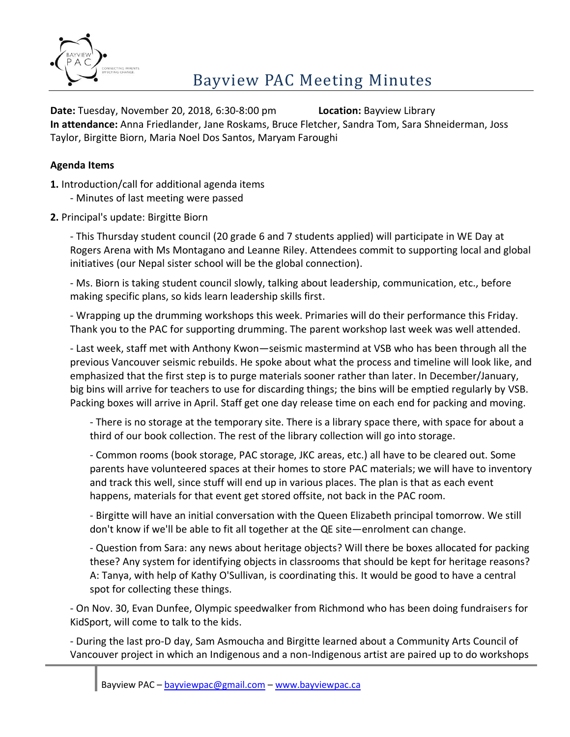

**Date:** Tuesday, November 20, 2018, 6:30-8:00 pm **Location:** Bayview Library **In attendance:** Anna Friedlander, Jane Roskams, Bruce Fletcher, Sandra Tom, Sara Shneiderman, Joss Taylor, Birgitte Biorn, Maria Noel Dos Santos, Maryam Faroughi

#### **Agenda Items**

**1.** Introduction/call for additional agenda items - Minutes of last meeting were passed

**2.** Principal's update: Birgitte Biorn

- This Thursday student council (20 grade 6 and 7 students applied) will participate in WE Day at Rogers Arena with Ms Montagano and Leanne Riley. Attendees commit to supporting local and global initiatives (our Nepal sister school will be the global connection).

- Ms. Biorn is taking student council slowly, talking about leadership, communication, etc., before making specific plans, so kids learn leadership skills first.

- Wrapping up the drumming workshops this week. Primaries will do their performance this Friday. Thank you to the PAC for supporting drumming. The parent workshop last week was well attended.

- Last week, staff met with Anthony Kwon—seismic mastermind at VSB who has been through all the previous Vancouver seismic rebuilds. He spoke about what the process and timeline will look like, and emphasized that the first step is to purge materials sooner rather than later. In December/January, big bins will arrive for teachers to use for discarding things; the bins will be emptied regularly by VSB. Packing boxes will arrive in April. Staff get one day release time on each end for packing and moving.

- There is no storage at the temporary site. There is a library space there, with space for about a third of our book collection. The rest of the library collection will go into storage.

- Common rooms (book storage, PAC storage, JKC areas, etc.) all have to be cleared out. Some parents have volunteered spaces at their homes to store PAC materials; we will have to inventory and track this well, since stuff will end up in various places. The plan is that as each event happens, materials for that event get stored offsite, not back in the PAC room.

- Birgitte will have an initial conversation with the Queen Elizabeth principal tomorrow. We still don't know if we'll be able to fit all together at the QE site—enrolment can change.

- Question from Sara: any news about heritage objects? Will there be boxes allocated for packing these? Any system for identifying objects in classrooms that should be kept for heritage reasons? A: Tanya, with help of Kathy O'Sullivan, is coordinating this. It would be good to have a central spot for collecting these things.

- On Nov. 30, Evan Dunfee, Olympic speedwalker from Richmond who has been doing fundraisers for KidSport, will come to talk to the kids.

- During the last pro-D day, Sam Asmoucha and Birgitte learned about a Community Arts Council of Vancouver project in which an Indigenous and a non-Indigenous artist are paired up to do workshops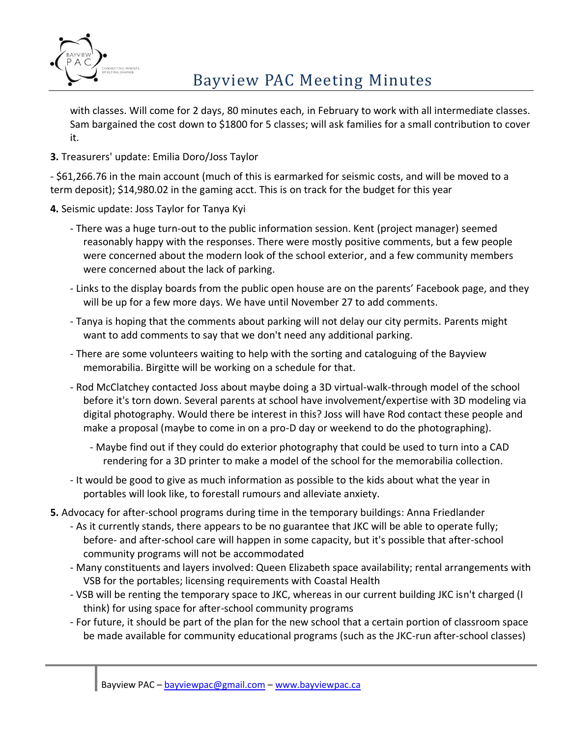

# Bayview PAC Meeting Minutes

with classes. Will come for 2 days, 80 minutes each, in February to work with all intermediate classes. Sam bargained the cost down to \$1800 for 5 classes; will ask families for a small contribution to cover it.

### **3.** Treasurers' update: Emilia Doro/Joss Taylor

- \$61,266.76 in the main account (much of this is earmarked for seismic costs, and will be moved to a term deposit); \$14,980.02 in the gaming acct. This is on track for the budget for this year

#### **4.** Seismic update: Joss Taylor for Tanya Kyi

- There was a huge turn-out to the public information session. Kent (project manager) seemed reasonably happy with the responses. There were mostly positive comments, but a few people were concerned about the modern look of the school exterior, and a few community members were concerned about the lack of parking.
- Links to the display boards from the public open house are on the parents' Facebook page, and they will be up for a few more days. We have until November 27 to add comments.
- Tanya is hoping that the comments about parking will not delay our city permits. Parents might want to add comments to say that we don't need any additional parking.
- There are some volunteers waiting to help with the sorting and cataloguing of the Bayview memorabilia. Birgitte will be working on a schedule for that.
- Rod McClatchey contacted Joss about maybe doing a 3D virtual-walk-through model of the school before it's torn down. Several parents at school have involvement/expertise with 3D modeling via digital photography. Would there be interest in this? Joss will have Rod contact these people and make a proposal (maybe to come in on a pro-D day or weekend to do the photographing).
	- Maybe find out if they could do exterior photography that could be used to turn into a CAD rendering for a 3D printer to make a model of the school for the memorabilia collection.
- It would be good to give as much information as possible to the kids about what the year in portables will look like, to forestall rumours and alleviate anxiety.
- **5.** Advocacy for after-school programs during time in the temporary buildings: Anna Friedlander
	- As it currently stands, there appears to be no guarantee that JKC will be able to operate fully; before- and after-school care will happen in some capacity, but it's possible that after-school community programs will not be accommodated
	- Many constituents and layers involved: Queen Elizabeth space availability; rental arrangements with VSB for the portables; licensing requirements with Coastal Health
	- VSB will be renting the temporary space to JKC, whereas in our current building JKC isn't charged (I think) for using space for after-school community programs
	- For future, it should be part of the plan for the new school that a certain portion of classroom space be made available for community educational programs (such as the JKC-run after-school classes)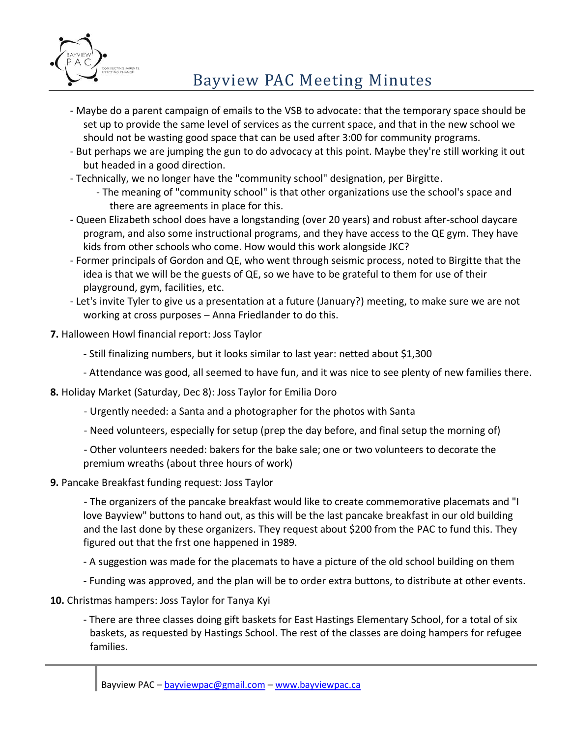

# Bayview PAC Meeting Minutes

- Maybe do a parent campaign of emails to the VSB to advocate: that the temporary space should be set up to provide the same level of services as the current space, and that in the new school we should not be wasting good space that can be used after 3:00 for community programs.
- But perhaps we are jumping the gun to do advocacy at this point. Maybe they're still working it out but headed in a good direction.
- Technically, we no longer have the "community school" designation, per Birgitte.
	- The meaning of "community school" is that other organizations use the school's space and there are agreements in place for this.
- Queen Elizabeth school does have a longstanding (over 20 years) and robust after-school daycare program, and also some instructional programs, and they have access to the QE gym. They have kids from other schools who come. How would this work alongside JKC?
- Former principals of Gordon and QE, who went through seismic process, noted to Birgitte that the idea is that we will be the guests of QE, so we have to be grateful to them for use of their playground, gym, facilities, etc.
- Let's invite Tyler to give us a presentation at a future (January?) meeting, to make sure we are not working at cross purposes – Anna Friedlander to do this.
- **7.** Halloween Howl financial report: Joss Taylor
	- Still finalizing numbers, but it looks similar to last year: netted about \$1,300
	- Attendance was good, all seemed to have fun, and it was nice to see plenty of new families there.
- **8.** Holiday Market (Saturday, Dec 8): Joss Taylor for Emilia Doro
	- Urgently needed: a Santa and a photographer for the photos with Santa
	- Need volunteers, especially for setup (prep the day before, and final setup the morning of)
	- Other volunteers needed: bakers for the bake sale; one or two volunteers to decorate the premium wreaths (about three hours of work)
- **9.** Pancake Breakfast funding request: Joss Taylor

- The organizers of the pancake breakfast would like to create commemorative placemats and "I love Bayview" buttons to hand out, as this will be the last pancake breakfast in our old building and the last done by these organizers. They request about \$200 from the PAC to fund this. They figured out that the frst one happened in 1989.

- A suggestion was made for the placemats to have a picture of the old school building on them
- Funding was approved, and the plan will be to order extra buttons, to distribute at other events.
- **10.** Christmas hampers: Joss Taylor for Tanya Kyi
	- There are three classes doing gift baskets for East Hastings Elementary School, for a total of six baskets, as requested by Hastings School. The rest of the classes are doing hampers for refugee families.